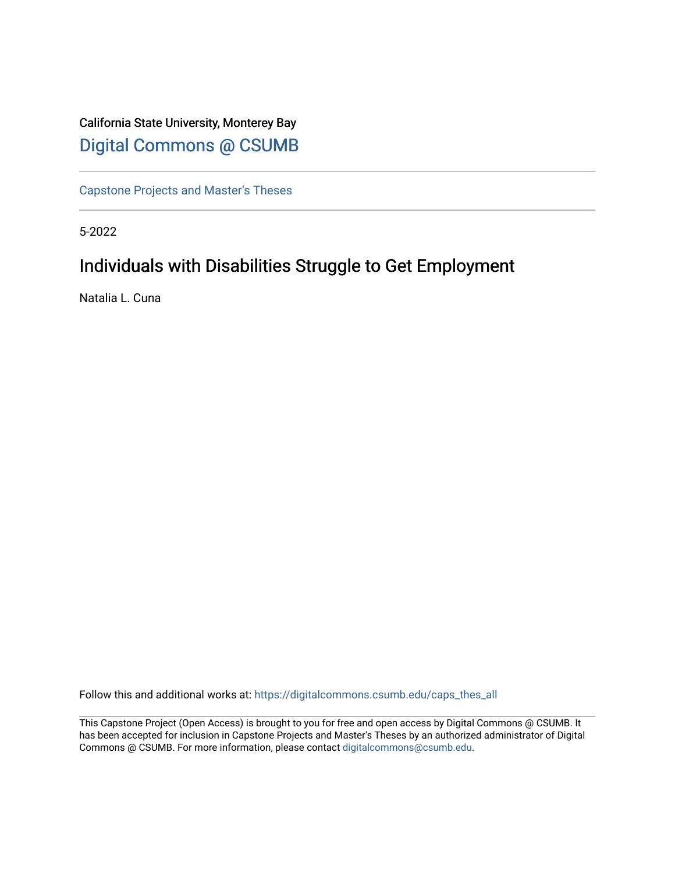## California State University, Monterey Bay [Digital Commons @ CSUMB](https://digitalcommons.csumb.edu/)

[Capstone Projects and Master's Theses](https://digitalcommons.csumb.edu/caps_thes_all)

5-2022

# Individuals with Disabilities Struggle to Get Employment

Natalia L. Cuna

Follow this and additional works at: [https://digitalcommons.csumb.edu/caps\\_thes\\_all](https://digitalcommons.csumb.edu/caps_thes_all?utm_source=digitalcommons.csumb.edu%2Fcaps_thes_all%2F1272&utm_medium=PDF&utm_campaign=PDFCoverPages)

This Capstone Project (Open Access) is brought to you for free and open access by Digital Commons @ CSUMB. It has been accepted for inclusion in Capstone Projects and Master's Theses by an authorized administrator of Digital Commons @ CSUMB. For more information, please contact [digitalcommons@csumb.edu](mailto:digitalcommons@csumb.edu).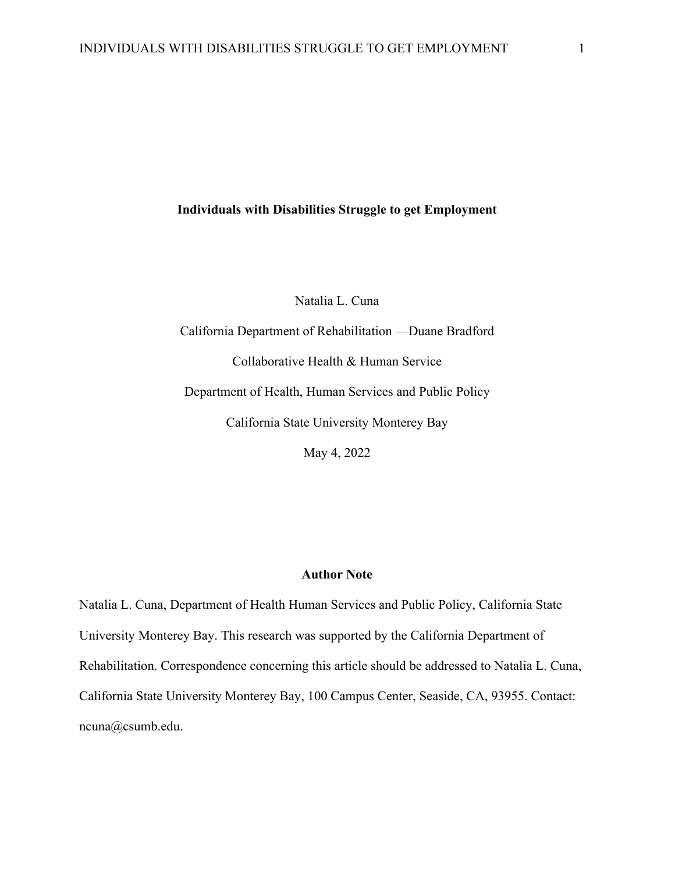#### **Individuals with Disabilities Struggle to get Employment**

Natalia L. Cuna

California Department of Rehabilitation —Duane Bradford Collaborative Health & Human Service Department of Health, Human Services and Public Policy California State University Monterey Bay May 4, 2022

#### **Author Note**

Natalia L. Cuna, Department of Health Human Services and Public Policy, California State University Monterey Bay. This research was supported by the California Department of Rehabilitation. Correspondence concerning this article should be addressed to Natalia L. Cuna, California State University Monterey Bay, 100 Campus Center, Seaside, CA, 93955. Contact: ncuna@csumb.edu.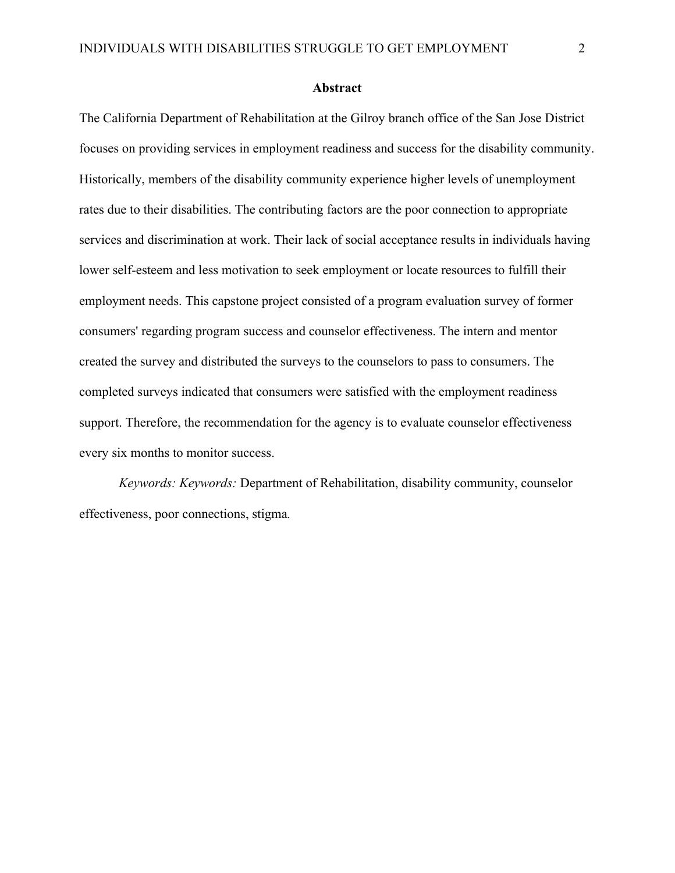#### **Abstract**

The California Department of Rehabilitation at the Gilroy branch office of the San Jose District focuses on providing services in employment readiness and success for the disability community. Historically, members of the disability community experience higher levels of unemployment rates due to their disabilities. The contributing factors are the poor connection to appropriate services and discrimination at work. Their lack of social acceptance results in individuals having lower self-esteem and less motivation to seek employment or locate resources to fulfill their employment needs. This capstone project consisted of a program evaluation survey of former consumers' regarding program success and counselor effectiveness. The intern and mentor created the survey and distributed the surveys to the counselors to pass to consumers. The completed surveys indicated that consumers were satisfied with the employment readiness support. Therefore, the recommendation for the agency is to evaluate counselor effectiveness every six months to monitor success.

*Keywords: Keywords:* Department of Rehabilitation, disability community, counselor effectiveness, poor connections, stigma*.*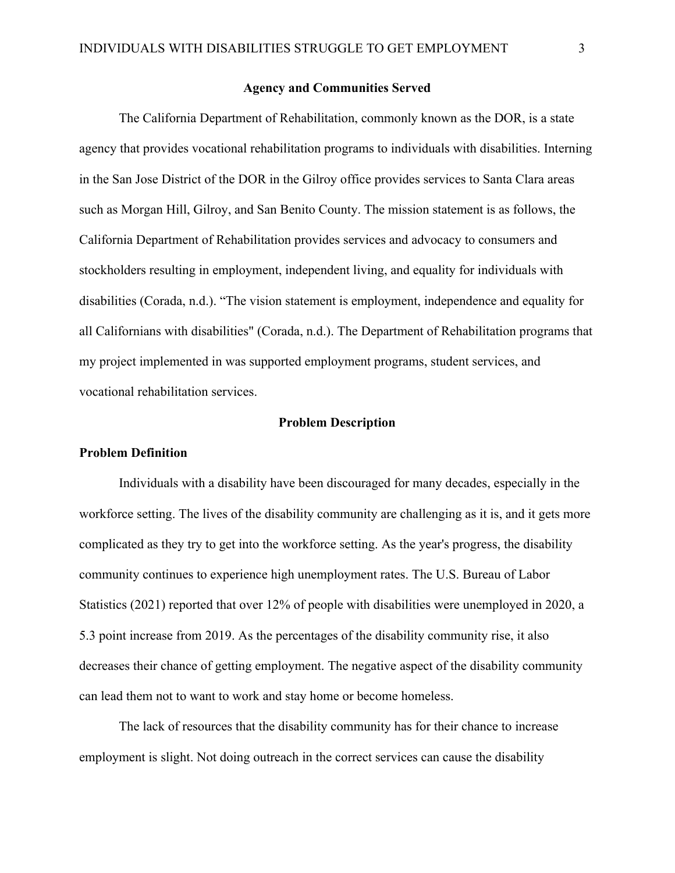#### **Agency and Communities Served**

The California Department of Rehabilitation, commonly known as the DOR, is a state agency that provides vocational rehabilitation programs to individuals with disabilities. Interning in the San Jose District of the DOR in the Gilroy office provides services to Santa Clara areas such as Morgan Hill, Gilroy, and San Benito County. The mission statement is as follows, the California Department of Rehabilitation provides services and advocacy to consumers and stockholders resulting in employment, independent living, and equality for individuals with disabilities (Corada, n.d.). "The vision statement is employment, independence and equality for all Californians with disabilities" (Corada, n.d.). The Department of Rehabilitation programs that my project implemented in was supported employment programs, student services, and vocational rehabilitation services.

#### **Problem Description**

#### **Problem Definition**

Individuals with a disability have been discouraged for many decades, especially in the workforce setting. The lives of the disability community are challenging as it is, and it gets more complicated as they try to get into the workforce setting. As the year's progress, the disability community continues to experience high unemployment rates. The U.S. Bureau of Labor Statistics (2021) reported that over 12% of people with disabilities were unemployed in 2020, a 5.3 point increase from 2019. As the percentages of the disability community rise, it also decreases their chance of getting employment. The negative aspect of the disability community can lead them not to want to work and stay home or become homeless.

The lack of resources that the disability community has for their chance to increase employment is slight. Not doing outreach in the correct services can cause the disability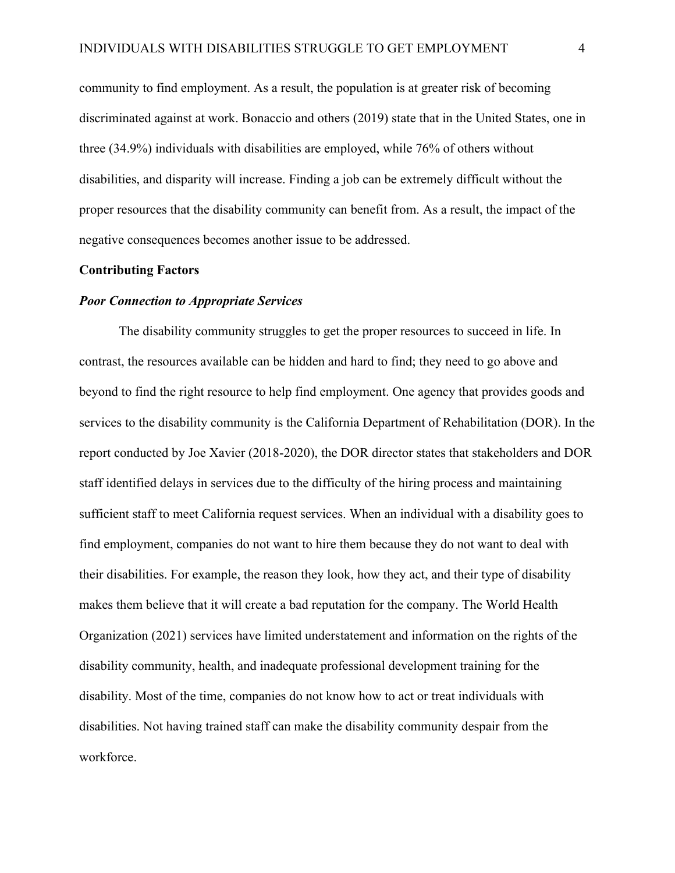community to find employment. As a result, the population is at greater risk of becoming discriminated against at work. Bonaccio and others (2019) state that in the United States, one in three (34.9%) individuals with disabilities are employed, while 76% of others without disabilities, and disparity will increase. Finding a job can be extremely difficult without the proper resources that the disability community can benefit from. As a result, the impact of the negative consequences becomes another issue to be addressed.

#### **Contributing Factors**

#### *Poor Connection to Appropriate Services*

The disability community struggles to get the proper resources to succeed in life. In contrast, the resources available can be hidden and hard to find; they need to go above and beyond to find the right resource to help find employment. One agency that provides goods and services to the disability community is the California Department of Rehabilitation (DOR). In the report conducted by Joe Xavier (2018-2020), the DOR director states that stakeholders and DOR staff identified delays in services due to the difficulty of the hiring process and maintaining sufficient staff to meet California request services. When an individual with a disability goes to find employment, companies do not want to hire them because they do not want to deal with their disabilities. For example, the reason they look, how they act, and their type of disability makes them believe that it will create a bad reputation for the company. The World Health Organization (2021) services have limited understatement and information on the rights of the disability community, health, and inadequate professional development training for the disability. Most of the time, companies do not know how to act or treat individuals with disabilities. Not having trained staff can make the disability community despair from the workforce.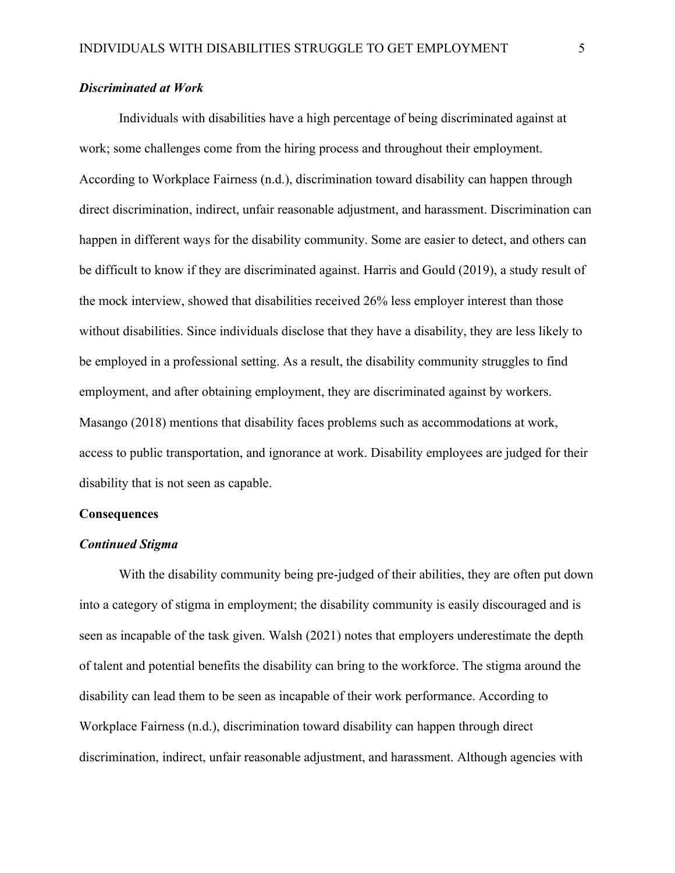#### *Discriminated at Work*

Individuals with disabilities have a high percentage of being discriminated against at work; some challenges come from the hiring process and throughout their employment. According to Workplace Fairness (n.d.), discrimination toward disability can happen through direct discrimination, indirect, unfair reasonable adjustment, and harassment. Discrimination can happen in different ways for the disability community. Some are easier to detect, and others can be difficult to know if they are discriminated against. Harris and Gould (2019), a study result of the mock interview, showed that disabilities received 26% less employer interest than those without disabilities. Since individuals disclose that they have a disability, they are less likely to be employed in a professional setting. As a result, the disability community struggles to find employment, and after obtaining employment, they are discriminated against by workers. Masango (2018) mentions that disability faces problems such as accommodations at work, access to public transportation, and ignorance at work. Disability employees are judged for their disability that is not seen as capable.

#### **Consequences**

#### *Continued Stigma*

With the disability community being pre-judged of their abilities, they are often put down into a category of stigma in employment; the disability community is easily discouraged and is seen as incapable of the task given. Walsh (2021) notes that employers underestimate the depth of talent and potential benefits the disability can bring to the workforce. The stigma around the disability can lead them to be seen as incapable of their work performance. According to Workplace Fairness (n.d.), discrimination toward disability can happen through direct discrimination, indirect, unfair reasonable adjustment, and harassment. Although agencies with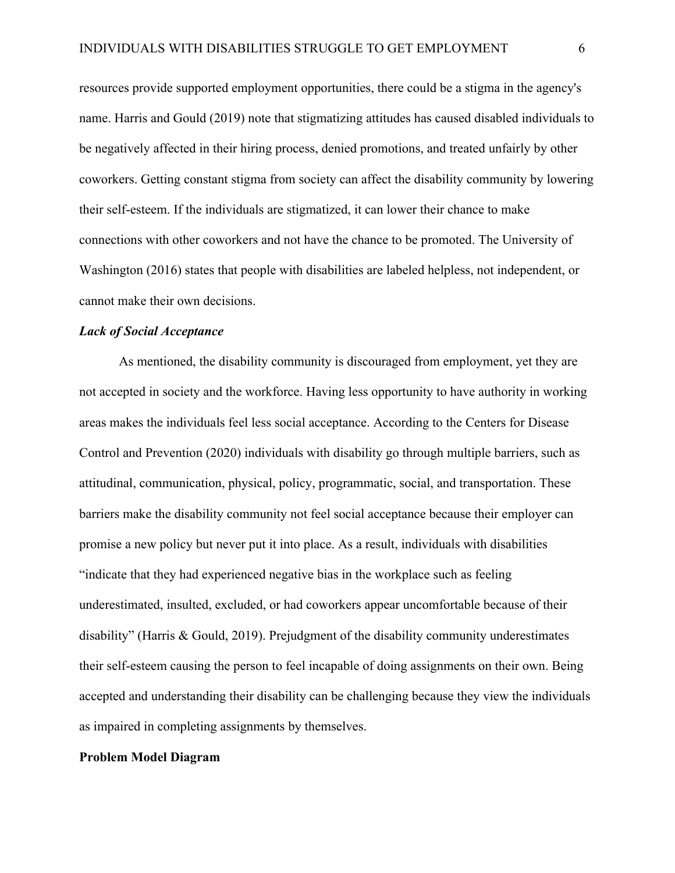resources provide supported employment opportunities, there could be a stigma in the agency's name. Harris and Gould (2019) note that stigmatizing attitudes has caused disabled individuals to be negatively affected in their hiring process, denied promotions, and treated unfairly by other coworkers. Getting constant stigma from society can affect the disability community by lowering their self-esteem. If the individuals are stigmatized, it can lower their chance to make connections with other coworkers and not have the chance to be promoted. The University of Washington (2016) states that people with disabilities are labeled helpless, not independent, or cannot make their own decisions.

#### *Lack of Social Acceptance*

As mentioned, the disability community is discouraged from employment, yet they are not accepted in society and the workforce. Having less opportunity to have authority in working areas makes the individuals feel less social acceptance. According to the Centers for Disease Control and Prevention (2020) individuals with disability go through multiple barriers, such as attitudinal, communication, physical, policy, programmatic, social, and transportation. These barriers make the disability community not feel social acceptance because their employer can promise a new policy but never put it into place. As a result, individuals with disabilities "indicate that they had experienced negative bias in the workplace such as feeling underestimated, insulted, excluded, or had coworkers appear uncomfortable because of their disability" (Harris & Gould, 2019). Prejudgment of the disability community underestimates their self-esteem causing the person to feel incapable of doing assignments on their own. Being accepted and understanding their disability can be challenging because they view the individuals as impaired in completing assignments by themselves.

### **Problem Model Diagram**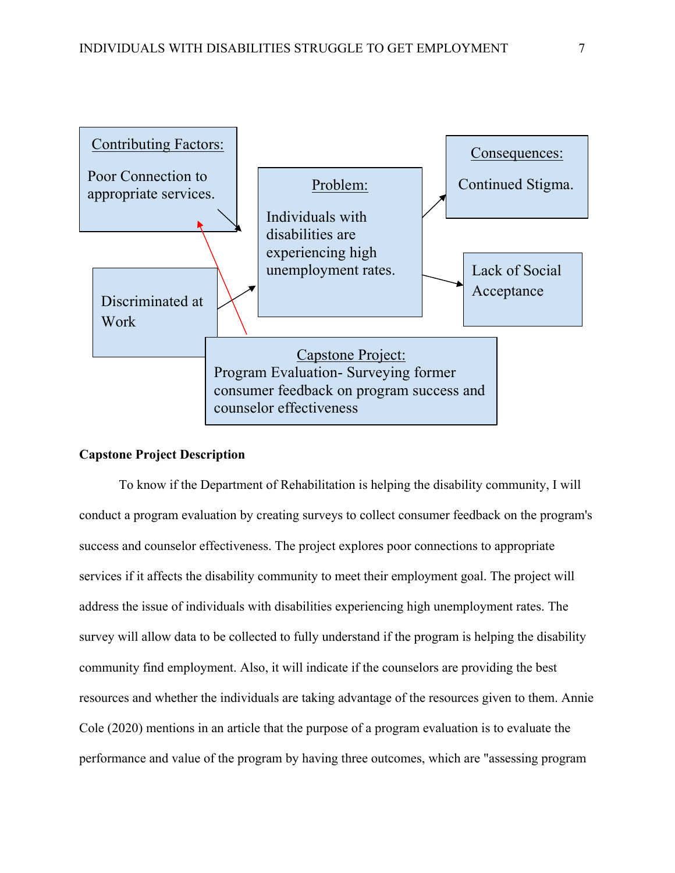

#### **Capstone Project Description**

To know if the Department of Rehabilitation is helping the disability community, I will conduct a program evaluation by creating surveys to collect consumer feedback on the program's success and counselor effectiveness. The project explores poor connections to appropriate services if it affects the disability community to meet their employment goal. The project will address the issue of individuals with disabilities experiencing high unemployment rates. The survey will allow data to be collected to fully understand if the program is helping the disability community find employment. Also, it will indicate if the counselors are providing the best resources and whether the individuals are taking advantage of the resources given to them. Annie Cole (2020) mentions in an article that the purpose of a program evaluation is to evaluate the performance and value of the program by having three outcomes, which are "assessing program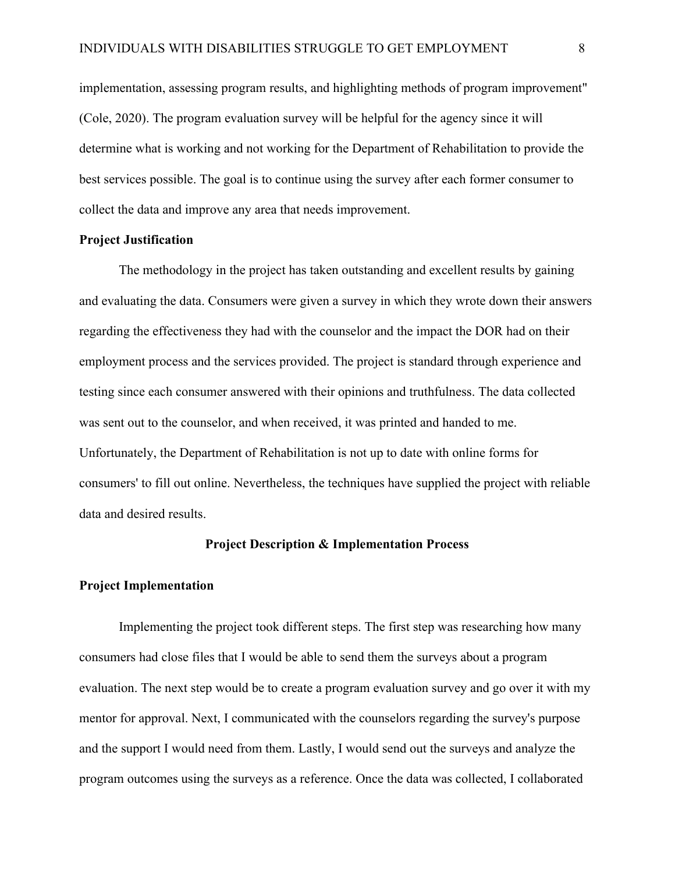implementation, assessing program results, and highlighting methods of program improvement" (Cole, 2020). The program evaluation survey will be helpful for the agency since it will determine what is working and not working for the Department of Rehabilitation to provide the best services possible. The goal is to continue using the survey after each former consumer to collect the data and improve any area that needs improvement.

#### **Project Justification**

The methodology in the project has taken outstanding and excellent results by gaining and evaluating the data. Consumers were given a survey in which they wrote down their answers regarding the effectiveness they had with the counselor and the impact the DOR had on their employment process and the services provided. The project is standard through experience and testing since each consumer answered with their opinions and truthfulness. The data collected was sent out to the counselor, and when received, it was printed and handed to me. Unfortunately, the Department of Rehabilitation is not up to date with online forms for consumers' to fill out online. Nevertheless, the techniques have supplied the project with reliable data and desired results.

#### **Project Description & Implementation Process**

#### **Project Implementation**

Implementing the project took different steps. The first step was researching how many consumers had close files that I would be able to send them the surveys about a program evaluation. The next step would be to create a program evaluation survey and go over it with my mentor for approval. Next, I communicated with the counselors regarding the survey's purpose and the support I would need from them. Lastly, I would send out the surveys and analyze the program outcomes using the surveys as a reference. Once the data was collected, I collaborated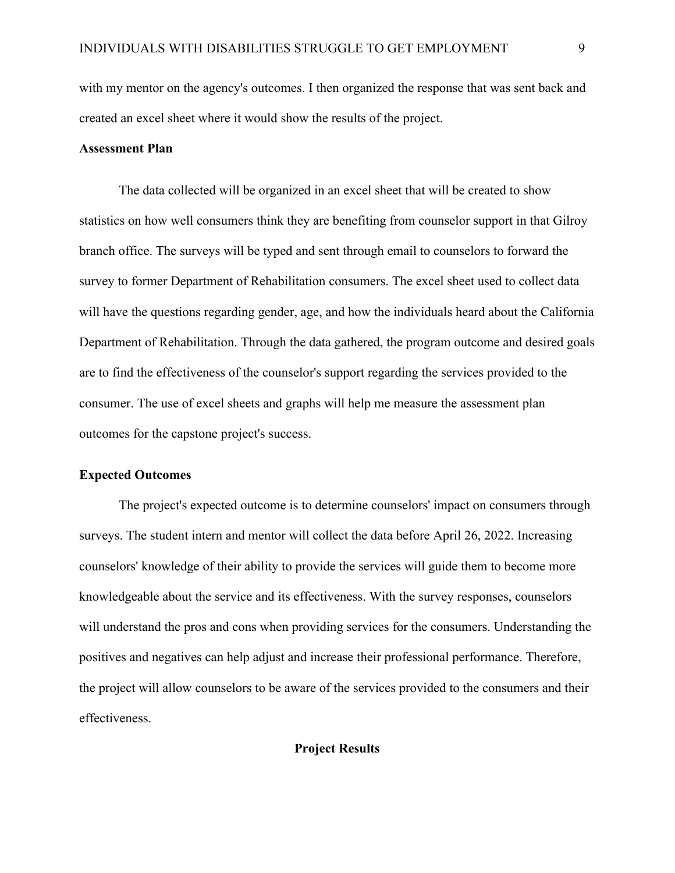with my mentor on the agency's outcomes. I then organized the response that was sent back and created an excel sheet where it would show the results of the project.

#### **Assessment Plan**

The data collected will be organized in an excel sheet that will be created to show statistics on how well consumers think they are benefiting from counselor support in that Gilroy branch office. The surveys will be typed and sent through email to counselors to forward the survey to former Department of Rehabilitation consumers. The excel sheet used to collect data will have the questions regarding gender, age, and how the individuals heard about the California Department of Rehabilitation. Through the data gathered, the program outcome and desired goals are to find the effectiveness of the counselor's support regarding the services provided to the consumer. The use of excel sheets and graphs will help me measure the assessment plan outcomes for the capstone project's success.

#### **Expected Outcomes**

The project's expected outcome is to determine counselors' impact on consumers through surveys. The student intern and mentor will collect the data before April 26, 2022. Increasing counselors' knowledge of their ability to provide the services will guide them to become more knowledgeable about the service and its effectiveness. With the survey responses, counselors will understand the pros and cons when providing services for the consumers. Understanding the positives and negatives can help adjust and increase their professional performance. Therefore, the project will allow counselors to be aware of the services provided to the consumers and their effectiveness.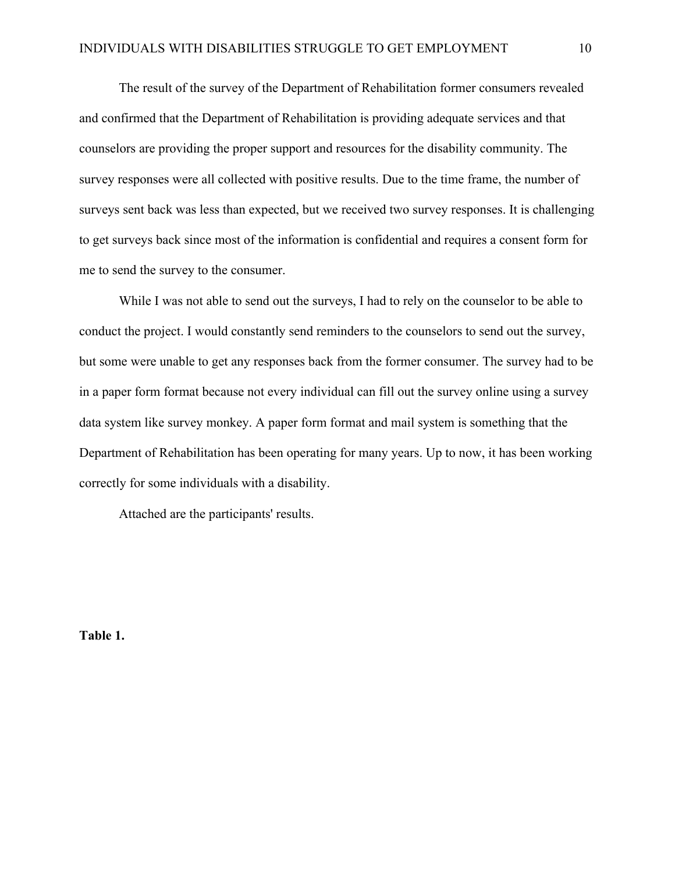The result of the survey of the Department of Rehabilitation former consumers revealed and confirmed that the Department of Rehabilitation is providing adequate services and that counselors are providing the proper support and resources for the disability community. The survey responses were all collected with positive results. Due to the time frame, the number of surveys sent back was less than expected, but we received two survey responses. It is challenging to get surveys back since most of the information is confidential and requires a consent form for me to send the survey to the consumer.

While I was not able to send out the surveys, I had to rely on the counselor to be able to conduct the project. I would constantly send reminders to the counselors to send out the survey, but some were unable to get any responses back from the former consumer. The survey had to be in a paper form format because not every individual can fill out the survey online using a survey data system like survey monkey. A paper form format and mail system is something that the Department of Rehabilitation has been operating for many years. Up to now, it has been working correctly for some individuals with a disability.

Attached are the participants' results.

**Table 1.**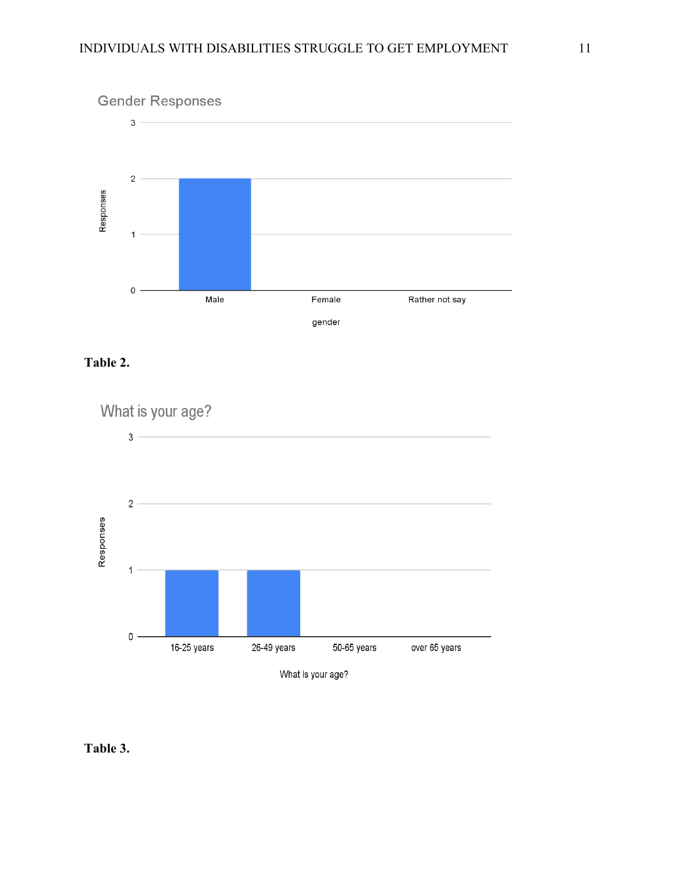

### **Table 2.**



### **Table 3.**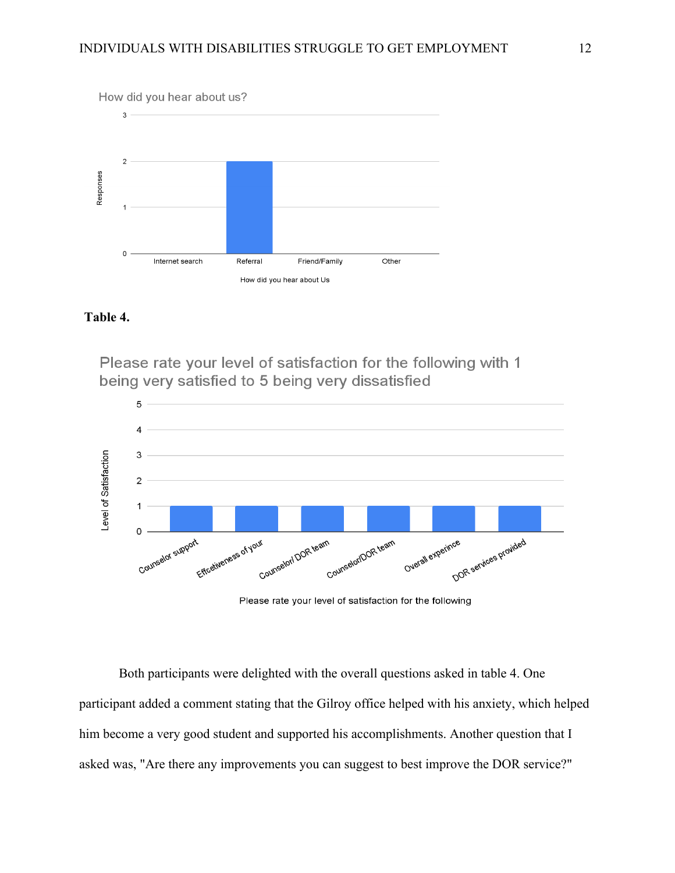

### **Table 4.**

Please rate your level of satisfaction for the following with 1 being very satisfied to 5 being very dissatisfied



Please rate your level of satisfaction for the following

Both participants were delighted with the overall questions asked in table 4. One participant added a comment stating that the Gilroy office helped with his anxiety, which helped him become a very good student and supported his accomplishments. Another question that I asked was, "Are there any improvements you can suggest to best improve the DOR service?"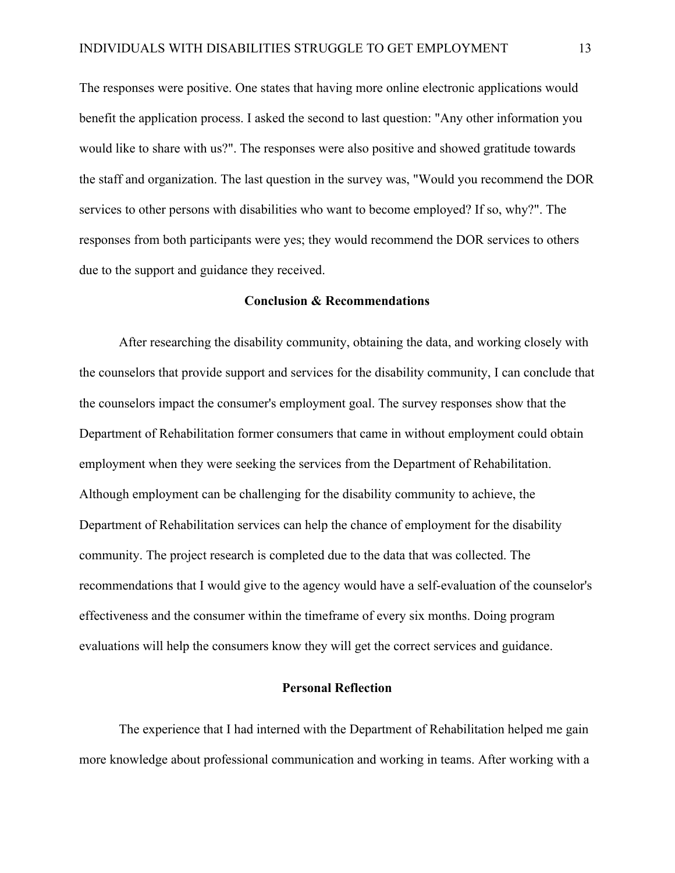The responses were positive. One states that having more online electronic applications would benefit the application process. I asked the second to last question: "Any other information you would like to share with us?". The responses were also positive and showed gratitude towards the staff and organization. The last question in the survey was, "Would you recommend the DOR services to other persons with disabilities who want to become employed? If so, why?". The responses from both participants were yes; they would recommend the DOR services to others due to the support and guidance they received.

#### **Conclusion & Recommendations**

After researching the disability community, obtaining the data, and working closely with the counselors that provide support and services for the disability community, I can conclude that the counselors impact the consumer's employment goal. The survey responses show that the Department of Rehabilitation former consumers that came in without employment could obtain employment when they were seeking the services from the Department of Rehabilitation. Although employment can be challenging for the disability community to achieve, the Department of Rehabilitation services can help the chance of employment for the disability community. The project research is completed due to the data that was collected. The recommendations that I would give to the agency would have a self-evaluation of the counselor's effectiveness and the consumer within the timeframe of every six months. Doing program evaluations will help the consumers know they will get the correct services and guidance.

#### **Personal Reflection**

The experience that I had interned with the Department of Rehabilitation helped me gain more knowledge about professional communication and working in teams. After working with a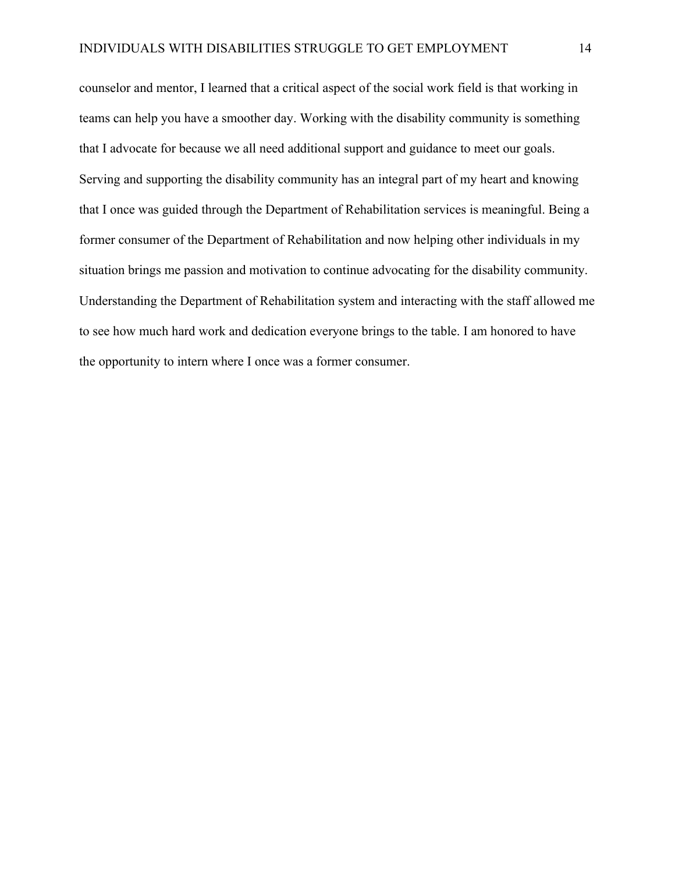counselor and mentor, I learned that a critical aspect of the social work field is that working in teams can help you have a smoother day. Working with the disability community is something that I advocate for because we all need additional support and guidance to meet our goals. Serving and supporting the disability community has an integral part of my heart and knowing that I once was guided through the Department of Rehabilitation services is meaningful. Being a former consumer of the Department of Rehabilitation and now helping other individuals in my situation brings me passion and motivation to continue advocating for the disability community. Understanding the Department of Rehabilitation system and interacting with the staff allowed me to see how much hard work and dedication everyone brings to the table. I am honored to have the opportunity to intern where I once was a former consumer.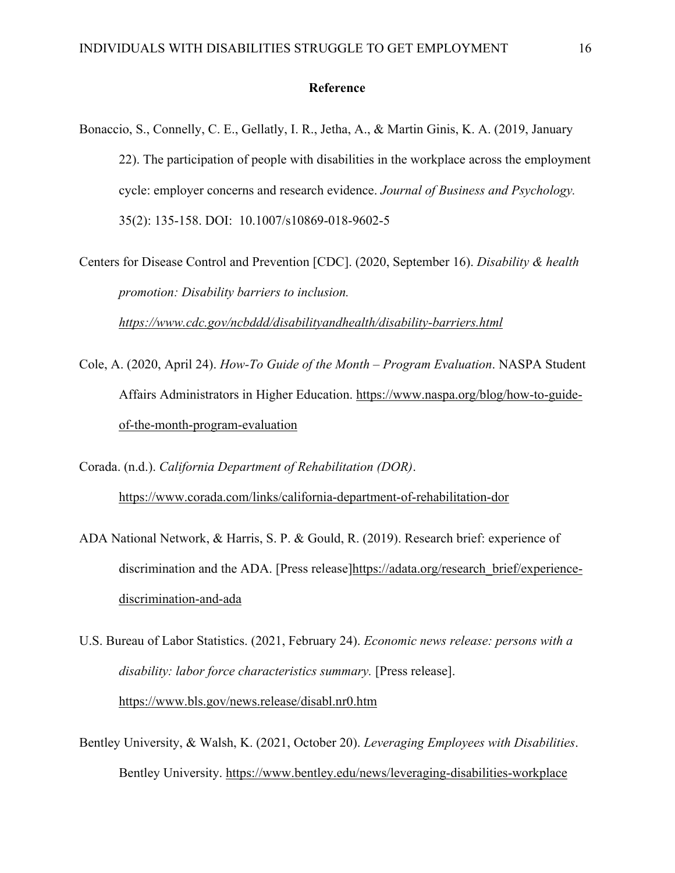#### **Reference**

- Bonaccio, S., Connelly, C. E., Gellatly, I. R., Jetha, A., & Martin Ginis, K. A. (2019, January 22). The participation of people with disabilities in the workplace across the employment cycle: employer concerns and research evidence. *Journal of Business and Psychology.*  35(2): 135-158. DOI: 10.1007/s10869-018-9602-5
- Centers for Disease Control and Prevention [CDC]. (2020, September 16). *Disability & health promotion: Disability barriers to inclusion.*

*https://www.cdc.gov/ncbddd/disabilityandhealth/disability-barriers.html*

Cole, A. (2020, April 24). *How-To Guide of the Month – Program Evaluation*. NASPA Student Affairs Administrators in Higher Education. https://www.naspa.org/blog/how-to-guideof-the-month-program-evaluation

Corada. (n.d.). *California Department of Rehabilitation (DOR)*. https://www.corada.com/links/california-department-of-rehabilitation-dor

- ADA National Network, & Harris, S. P. & Gould, R. (2019). Research brief: experience of discrimination and the ADA. [Press release]https://adata.org/research\_brief/experiencediscrimination-and-ada
- U.S. Bureau of Labor Statistics. (2021, February 24). *Economic news release: persons with a disability: labor force characteristics summary.* [Press release]. https://www.bls.gov/news.release/disabl.nr0.htm
- Bentley University, & Walsh, K. (2021, October 20). *Leveraging Employees with Disabilities*. Bentley University. https://www.bentley.edu/news/leveraging-disabilities-workplace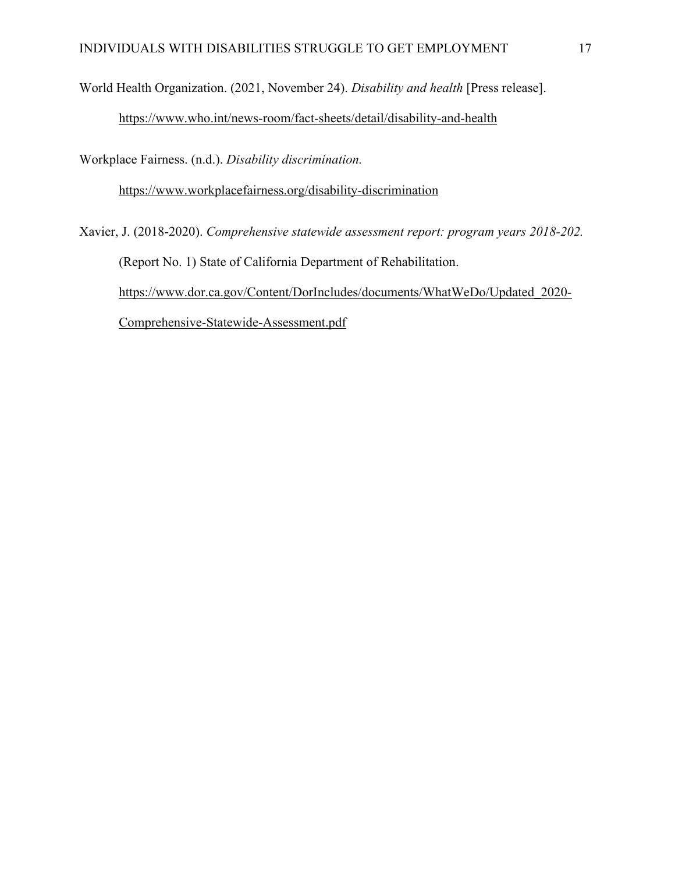World Health Organization. (2021, November 24). *Disability and health* [Press release].

https://www.who.int/news-room/fact-sheets/detail/disability-and-health

Workplace Fairness. (n.d.). *Disability discrimination.*

https://www.workplacefairness.org/disability-discrimination

Xavier, J. (2018-2020). *Comprehensive statewide assessment report: program years 2018-202.*  (Report No. 1) State of California Department of Rehabilitation. https://www.dor.ca.gov/Content/DorIncludes/documents/WhatWeDo/Updated\_2020- Comprehensive-Statewide-Assessment.pdf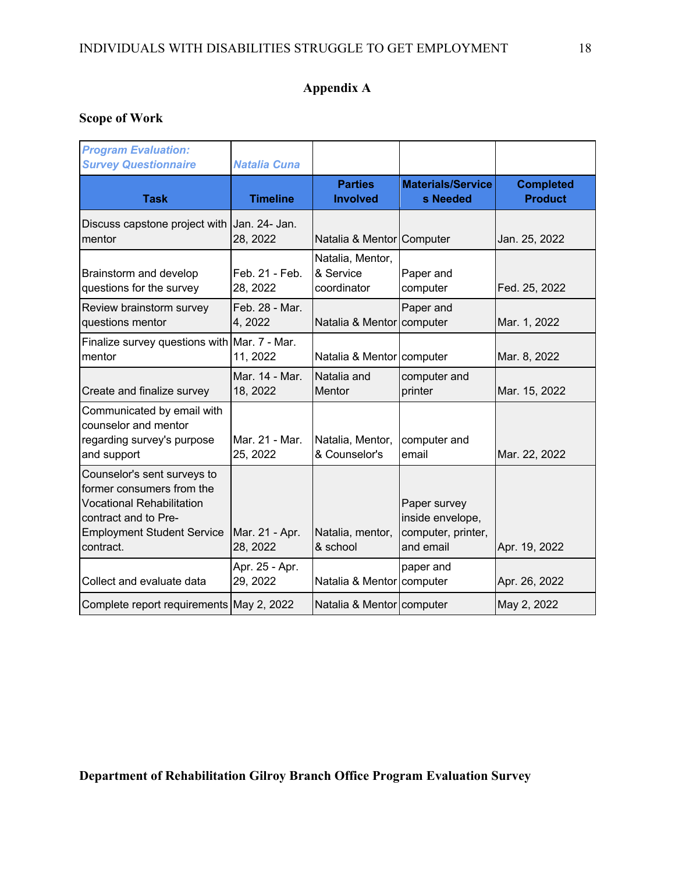## **Appendix A**

### **Scope of Work**

| <b>Program Evaluation:</b><br><b>Survey Questionnaire</b>                                                                                                              | <b>Natalia Cuna</b>        |                                              |                                                                     |                                    |
|------------------------------------------------------------------------------------------------------------------------------------------------------------------------|----------------------------|----------------------------------------------|---------------------------------------------------------------------|------------------------------------|
| <b>Task</b>                                                                                                                                                            | <b>Timeline</b>            | <b>Parties</b><br><b>Involved</b>            | <b>Materials/Service</b><br>s Needed                                | <b>Completed</b><br><b>Product</b> |
| Discuss capstone project with Jan. 24- Jan.<br>mentor                                                                                                                  | 28, 2022                   | Natalia & Mentor Computer                    |                                                                     | Jan. 25, 2022                      |
| Brainstorm and develop<br>questions for the survey                                                                                                                     | Feb. 21 - Feb.<br>28, 2022 | Natalia, Mentor,<br>& Service<br>coordinator | Paper and<br>computer                                               | Fed. 25, 2022                      |
| Review brainstorm survey<br>questions mentor                                                                                                                           | Feb. 28 - Mar.<br>4, 2022  | Natalia & Mentor computer                    | Paper and                                                           | Mar. 1, 2022                       |
| Finalize survey questions with Mar. 7 - Mar.<br>mentor                                                                                                                 | 11, 2022                   | Natalia & Mentor computer                    |                                                                     | Mar. 8, 2022                       |
| Create and finalize survey                                                                                                                                             | Mar. 14 - Mar.<br>18, 2022 | Natalia and<br>Mentor                        | computer and<br>printer                                             | Mar. 15, 2022                      |
| Communicated by email with<br>counselor and mentor<br>regarding survey's purpose<br>and support                                                                        | Mar. 21 - Mar.<br>25, 2022 | Natalia, Mentor,<br>& Counselor's            | computer and<br>email                                               | Mar. 22, 2022                      |
| Counselor's sent surveys to<br>former consumers from the<br><b>Vocational Rehabilitation</b><br>contract and to Pre-<br><b>Employment Student Service</b><br>contract. | Mar. 21 - Apr.<br>28, 2022 | Natalia, mentor,<br>& school                 | Paper survey<br>inside envelope,<br>computer, printer,<br>and email | Apr. 19, 2022                      |
| Collect and evaluate data                                                                                                                                              | Apr. 25 - Apr.<br>29, 2022 | Natalia & Mentor computer                    | paper and                                                           | Apr. 26, 2022                      |
| Complete report requirements   May 2, 2022                                                                                                                             |                            | Natalia & Mentor   computer                  |                                                                     | May 2, 2022                        |

**Department of Rehabilitation Gilroy Branch Office Program Evaluation Survey**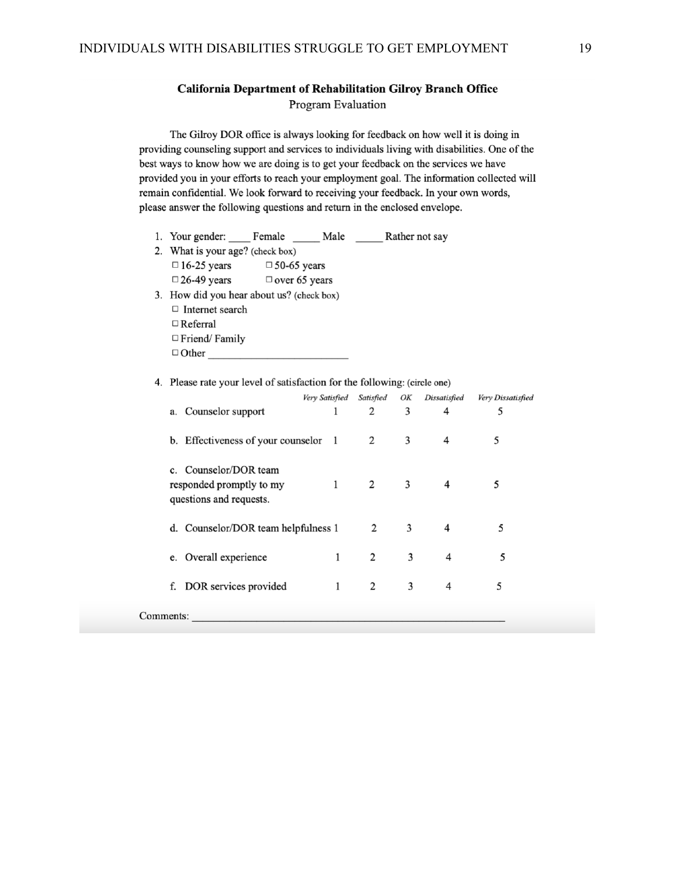#### **California Department of Rehabilitation Gilroy Branch Office** Program Evaluation

The Gilroy DOR office is always looking for feedback on how well it is doing in providing counseling support and services to individuals living with disabilities. One of the best ways to know how we are doing is to get your feedback on the services we have provided you in your efforts to reach your employment goal. The information collected will remain confidential. We look forward to receiving your feedback. In your own words, please answer the following questions and return in the enclosed envelope.

- 1. Your gender: Female Male Rather not say
- 2. What is your age? (check box)  $\Box$  16-25 years  $\square$  50-65 years  $\Box$  26-49 years  $\Box$  over 65 years
- 3. How did you hear about us? (check box)
	- $\Box$  Internet search  $\Box$  Referral □ Friend/ Family
	- $\Box$  Other
- 4. Please rate your level of satisfaction for the following: (circle one)

|                                                                              | Very Satisfied | Satisfied | ОK | Dissatisfied | Very Dissatisfied |  |
|------------------------------------------------------------------------------|----------------|-----------|----|--------------|-------------------|--|
| a. Counselor support                                                         | 1              | 2         | 3  | 4            | 5                 |  |
| b. Effectiveness of your counselor 1                                         |                | 2         | 3  | 4            | 5                 |  |
| c. Counselor/DOR team<br>responded promptly to my<br>questions and requests. | 1              | 2         | 3  | 4            | 5                 |  |
| d. Counselor/DOR team helpfulness 1                                          |                | 2         | 3  | 4            | 5                 |  |
| e. Overall experience                                                        | 1              | 2         | 3  | 4            | 5                 |  |
| f. DOR services provided                                                     | 1              | 2         | 3  | 4            | 5                 |  |
| Comments:                                                                    |                |           |    |              |                   |  |